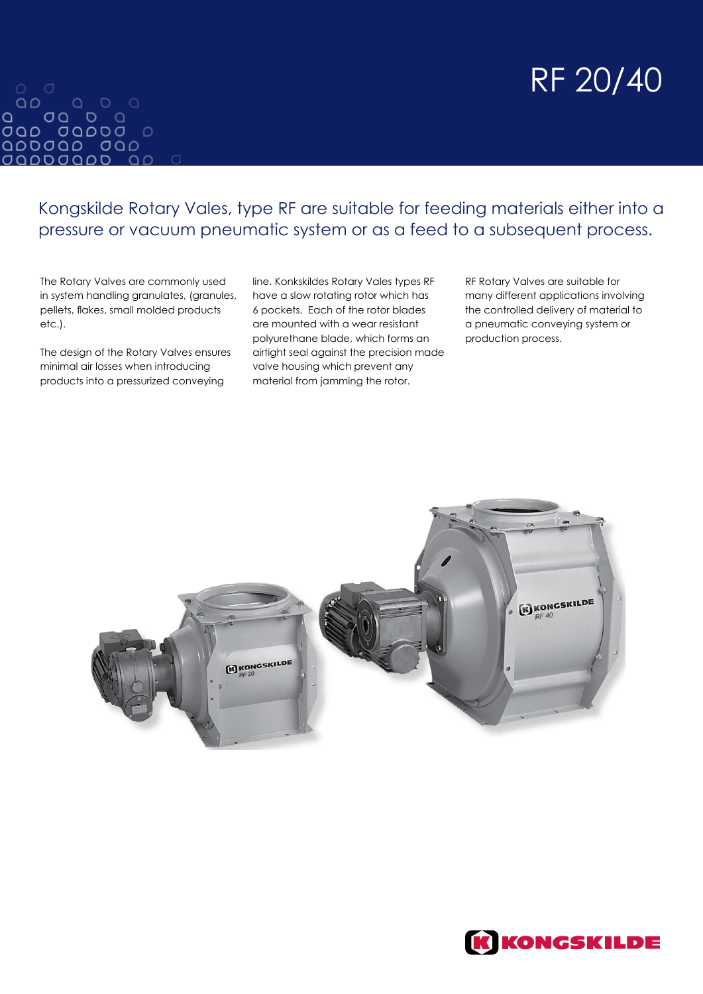# RF 20/40

#### $QD$  $\begin{array}{ccccccccc}\n0 & 0 & 0 & \n\end{array}$  $\Omega$ QDDJQD JQD *OQDDOQDD*  $\Omega$

Kongskilde Rotary Vales, type RF are suitable for feeding materials either into a pressure or vacuum pneumatic system or as a feed to a subsequent process.

The Rotary Valves are commonly used in system handling granulates, (granules, pellets, flakes, small molded products etc.).

The design of the Rotary Valves ensures minimal air losses when introducing products into a pressurized conveying

line. Konkskildes Rotary Vales types RF have a slow rotating rotor which has 6 pockets. Each of the rotor blades are mounted with a wear resistant polyurethane blade, which forms an airtight seal against the precision made valve housing which prevent any material from jamming the rotor.

RF Rotary Valves are suitable for many different applications involving the controlled delivery of material to a pneumatic conveying system or production process.



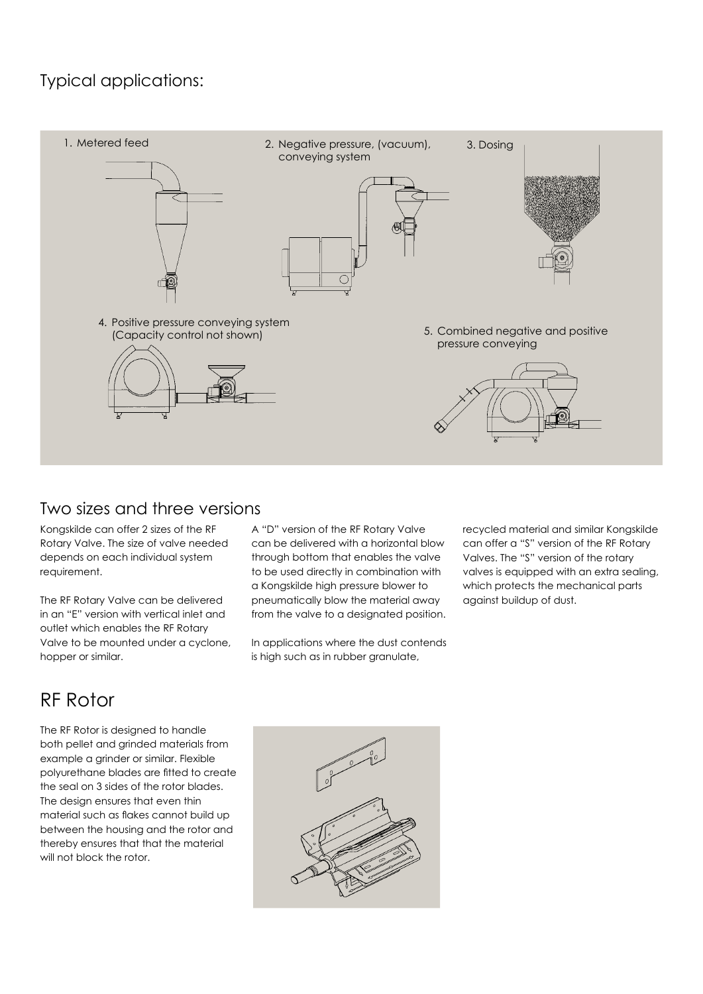#### Typical applications:



#### Two sizes and three versions

Kongskilde can offer 2 sizes of the RF Rotary Valve. The size of valve needed depends on each individual system requirement.

The RF Rotary Valve can be delivered in an "E" version with vertical inlet and outlet which enables the RF Rotary Valve to be mounted under a cyclone, hopper or similar.

A "D" version of the RF Rotary Valve can be delivered with a horizontal blow through bottom that enables the valve to be used directly in combination with a Kongskilde high pressure blower to pneumatically blow the material away from the valve to a designated position.

In applications where the dust contends is high such as in rubber granulate,

recycled material and similar Kongskilde can offer a "S" version of the RF Rotary Valves. The "S" version of the rotary valves is equipped with an extra sealing, which protects the mechanical parts against buildup of dust.

## RF Rotor

The RF Rotor is designed to handle both pellet and grinded materials from example a grinder or similar. Flexible polyurethane blades are fitted to create the seal on 3 sides of the rotor blades. The design ensures that even thin material such as flakes cannot build up between the housing and the rotor and thereby ensures that that the material will not block the rotor.

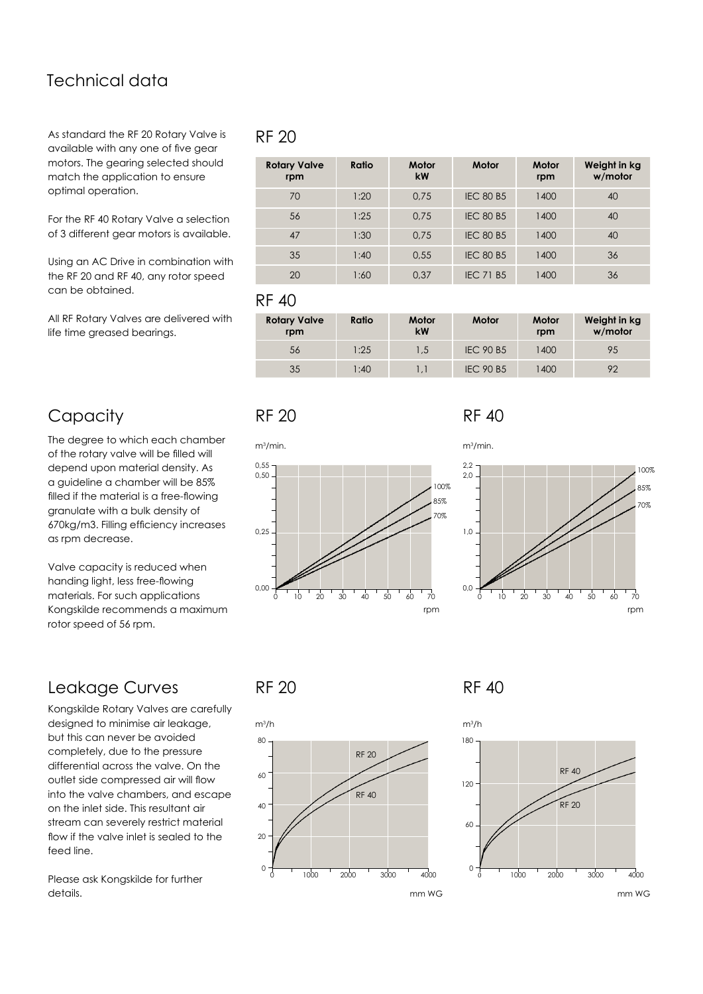#### Technical data

As standard the RF 20 Rotary Valve is available with any one of five gear motors. The gearing selected should match the application to ensure optimal operation.

For the RF 40 Rotary Valve a selection of 3 different gear motors is available.

Using an AC Drive in combination with the RF 20 and RF 40, any rotor speed can be obtained.

All RF Rotary Valves are delivered with life time greased bearings.

#### **Capacity**

The degree to which each chamber of the rotary valve will be filled will depend upon material density. As a guideline a chamber will be 85% filled if the material is a free-flowing granulate with a bulk density of 670kg/m3. Filling efficiency increases as rpm decrease.

Valve capacity is reduced when handing light, less free-flowing materials. For such applications Kongskilde recommends a maximum rotor speed of 56 rpm.

### Leakage Curves

Kongskilde Rotary Valves are carefully designed to minimise air leakage, but this can never be avoided completely, due to the pressure differential across the valve. On the outlet side compressed air will flow into the valve chambers, and escape on the inlet side. This resultant air stream can severely restrict material flow if the valve inlet is sealed to the feed line.

Please ask Kongskilde for further details.

#### RF 20

| <b>Rotary Valve</b><br>rpm | Ratio | Motor<br>kW | Motor            | Motor<br>rpm | Weight in kg<br>w/motor |
|----------------------------|-------|-------------|------------------|--------------|-------------------------|
| 70                         | 1:20  | 0.75        | <b>IEC 80 B5</b> | 1400         | 40                      |
| 56                         | 1:25  | 0.75        | <b>IEC 80 B5</b> | 1400         | 40                      |
| 47                         | 1:30  | 0.75        | <b>IEC 80 B5</b> | 1400         | 40                      |
| 35                         | 1:40  | 0.55        | <b>IEC 80 B5</b> | 1400         | 36                      |
| 20                         | 1:60  | 0.37        | <b>IEC 71 B5</b> | 1400         | 36                      |

RF 40

| <b>Rotary Valve</b><br>rpm | Ratio | Motor<br>kW | Motor            | Motor<br>rpm | Weight in kg<br>w/motor |
|----------------------------|-------|-------------|------------------|--------------|-------------------------|
| 56                         | 1:25  | 1.5         | <b>IEC 90 B5</b> | 1400         | 95                      |
| 35                         | 1:40  |             | <b>IEC 90 B5</b> | 1400         | 92                      |

#### RF 20 RF 40







RF 20 RF 40